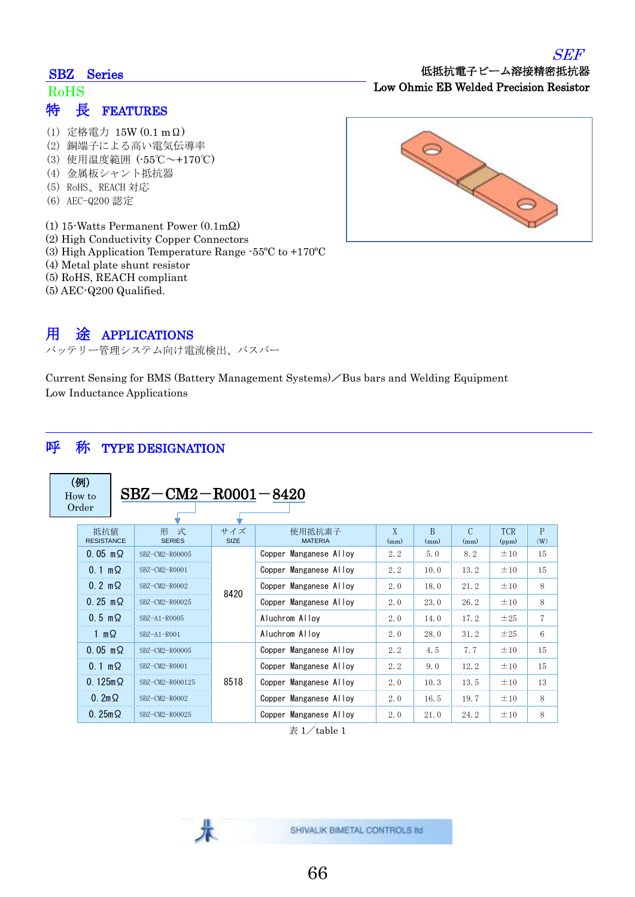## SEF

### SBZ Series

## 特 長 FEATURES RoHS

- (1) 定格電力 15W (0.1 mΩ)
- (2) 銅端子による高い電気伝導率
- (3) 使用温度範囲 (-55℃~+170℃)
- (4) 金属板シャント抵抗器
- (5) RoHS、REACH 対応
- (6) AEC-Q200 認定
- (1) 15-Watts Permanent Power (0.1mΩ)
- (2) High Conductivity Copper Connectors
- (3) High Application Temperature Range -55ºC to +170ºC
- (4) Metal plate shunt resistor
- (5) RoHS, REACH compliant
- (5) AEC-Q200 Qualified.

## 用 途 APPLICATIONS

バッテリー管理システム向け電流検出、バスバー

Current Sensing for BMS (Battery Management Systems)  $\angle$  Bus bars and Welding Equipment Low Inductance Applications

## 呼 称 TYPE DESIGNATION

(例) How to Order

 ${\rm SBZ\!-\!CM2\!-\!R0001\!-\!8420}$ 

| 抵抗值<br><b>RESISTANCE</b>  | 形 式<br><b>SERIES</b> | サイズ<br><b>SIZE</b> | 使用抵抗素子<br><b>MATERIA</b> | X<br>(mm) | B<br>(mm) | $\mathcal{C}$<br>(mm) | <b>TCR</b><br>(ppm) | P<br>(W)       |
|---------------------------|----------------------|--------------------|--------------------------|-----------|-----------|-----------------------|---------------------|----------------|
| $0.05$ m $\Omega$         | SBZ-CM2-R00005       | 8420               | Copper Manganese Alloy   | 2.2       | 5.0       | 8.2                   | ±10                 | 15             |
| $0.1 \text{ m}\Omega$     | SBZ-CM2-R0001        |                    | Copper Manganese Alloy   | 2, 2      | 10.0      | 13.2                  | ±10                 | 15             |
| $0.2 \text{ m}\Omega$     | SBZ-CM2-R0002        |                    | Copper Manganese Alloy   | 2.0       | 18.0      | 21.2                  | ±10                 | 8              |
| $0.25 \, \text{m} \Omega$ | SBZ-CM2-R00025       |                    | Copper Manganese Alloy   | 2.0       | 23.0      | 26.2                  | ±10                 | 8              |
| $0.5 \text{ m}\Omega$     | $SBZ-A1-R0005$       |                    | Aluchrom Alloy           | 2.0       | 14.0      | 17.2                  | ±25                 | $\overline{7}$ |
| 1 m $\Omega$              | $SBZ-A1-R001$        |                    | Aluchrom Alloy           | 2.0       | 28.0      | 31.2                  | ±25                 | 6              |
| $0.05 \text{ m}\Omega$    | SBZ-CM2-R00005       | 8518               | Copper Manganese Alloy   | 2, 2      | 4.5       | 7.7                   | ±10                 | 15             |
| $0.1 \text{ m}\Omega$     | SBZ-CM2-R0001        |                    | Copper Manganese Alloy   | 2, 2      | 9.0       | 12.2                  | ±10                 | 15             |
| $0.125m$ $\Omega$         | SBZ-CM2-R000125      |                    | Copper Manganese Alloy   | 2.0       | 10.3      | 13.5                  | ±10                 | 13             |
| $0.2 \text{m} \Omega$     | SBZ-CM2-R0002        |                    | Copper Manganese Alloy   | 2.0       | 16.5      | 19.7                  | ±10                 | 8              |
| $0.25m\Omega$             | SBZ-CM2-R00025       |                    | Copper Manganese Alloy   | 2.0       | 21.0      | 24.2                  | ±10                 | 8              |

 $\overline{\mathcal{R}}$  1/table 1





低抵抗電子ビーム溶接精密抵抗器

Low Ohmic EB Welded Precision Resistor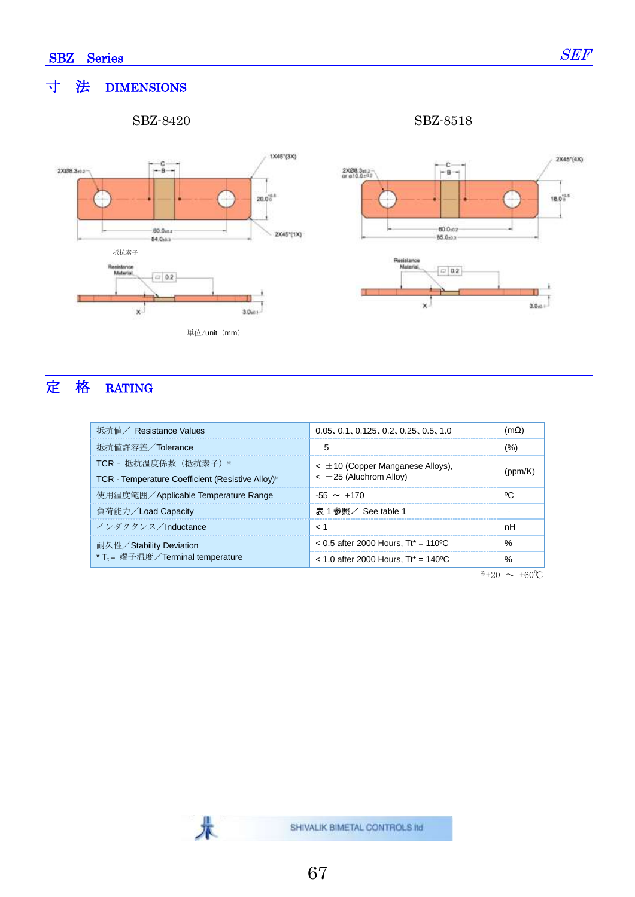## 寸 法 DIMENSIONS

SBZ-8420 SBZ-8518





# 定 格 RATING

| 抵抗值 / Resistance Values                                                   | 0.05, 0.1, 0.125, 0.2, 0.25, 0.5, 1.0                                 | (m $\Omega$ ) |
|---------------------------------------------------------------------------|-----------------------------------------------------------------------|---------------|
| 抵抗值許容差/Tolerance                                                          | 5                                                                     | (%)           |
| TCR - 抵抗温度係数 (抵抗素子) *<br>TCR - Temperature Coefficient (Resistive Alloy)* | $\epsilon$ ± 10 (Copper Manganese Alloys),<br>$<-25$ (Aluchrom Alloy) |               |
| 使用温度範囲/Applicable Temperature Range                                       | $-55 \sim +170$                                                       |               |
| 負荷能力/Load Capacity                                                        | 表 1 参照/ See table 1                                                   |               |
| インダクタンス/Inductance                                                        | 1 >                                                                   | nН            |
| 耐久性/Stability Deviation                                                   | $< 0.5$ after 2000 Hours. Tt* = 110 °C                                | $\frac{0}{6}$ |
| * T <sub>t</sub> = 端子温度/Terminal temperature                              | $<$ 1.0 after 2000 Hours. Tt* = 140 °C                                | $\frac{0}{6}$ |

 $*+20$  ∼ +60°C